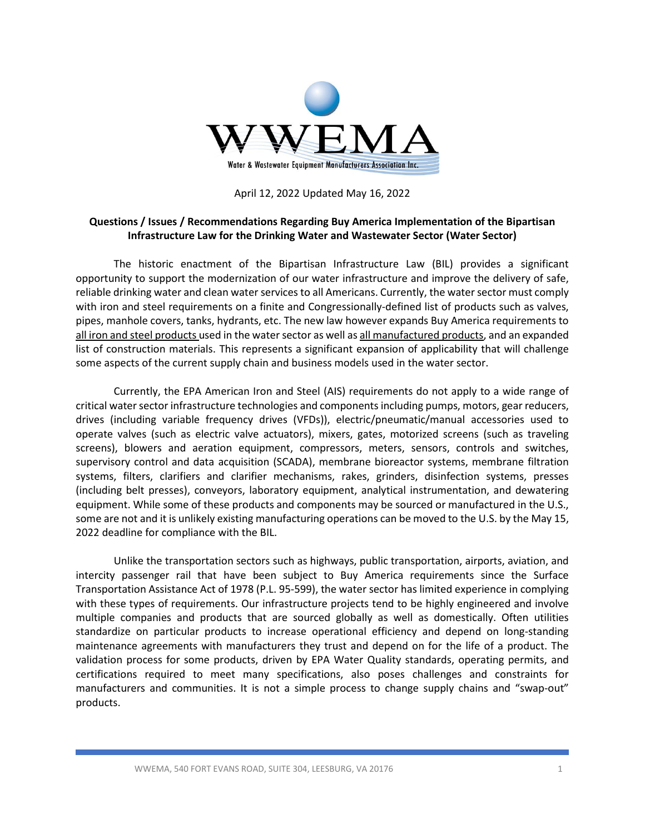

April 12, 2022 Updated May 16, 2022

## **Questions / Issues / Recommendations Regarding Buy America Implementation of the Bipartisan Infrastructure Law for the Drinking Water and Wastewater Sector (Water Sector)**

The historic enactment of the Bipartisan Infrastructure Law (BIL) provides a significant opportunity to support the modernization of our water infrastructure and improve the delivery of safe, reliable drinking water and clean water services to all Americans. Currently, the water sector must comply with iron and steel requirements on a finite and Congressionally-defined list of products such as valves, pipes, manhole covers, tanks, hydrants, etc. The new law however expands Buy America requirements to all iron and steel products used in the water sector as well as all manufactured products, and an expanded list of construction materials. This represents a significant expansion of applicability that will challenge some aspects of the current supply chain and business models used in the water sector.

Currently, the EPA American Iron and Steel (AIS) requirements do not apply to a wide range of critical water sector infrastructure technologies and components including pumps, motors, gear reducers, drives (including variable frequency drives (VFDs)), electric/pneumatic/manual accessories used to operate valves (such as electric valve actuators), mixers, gates, motorized screens (such as traveling screens), blowers and aeration equipment, compressors, meters, sensors, controls and switches, supervisory control and data acquisition (SCADA), membrane bioreactor systems, membrane filtration systems, filters, clarifiers and clarifier mechanisms, rakes, grinders, disinfection systems, presses (including belt presses), conveyors, laboratory equipment, analytical instrumentation, and dewatering equipment. While some of these products and components may be sourced or manufactured in the U.S., some are not and it is unlikely existing manufacturing operations can be moved to the U.S. by the May 15, 2022 deadline for compliance with the BIL.

Unlike the transportation sectors such as highways, public transportation, airports, aviation, and intercity passenger rail that have been subject to Buy America requirements since the Surface Transportation Assistance Act of 1978 (P.L. 95-599), the water sector has limited experience in complying with these types of requirements. Our infrastructure projects tend to be highly engineered and involve multiple companies and products that are sourced globally as well as domestically. Often utilities standardize on particular products to increase operational efficiency and depend on long-standing maintenance agreements with manufacturers they trust and depend on for the life of a product. The validation process for some products, driven by EPA Water Quality standards, operating permits, and certifications required to meet many specifications, also poses challenges and constraints for manufacturers and communities. It is not a simple process to change supply chains and "swap-out" products.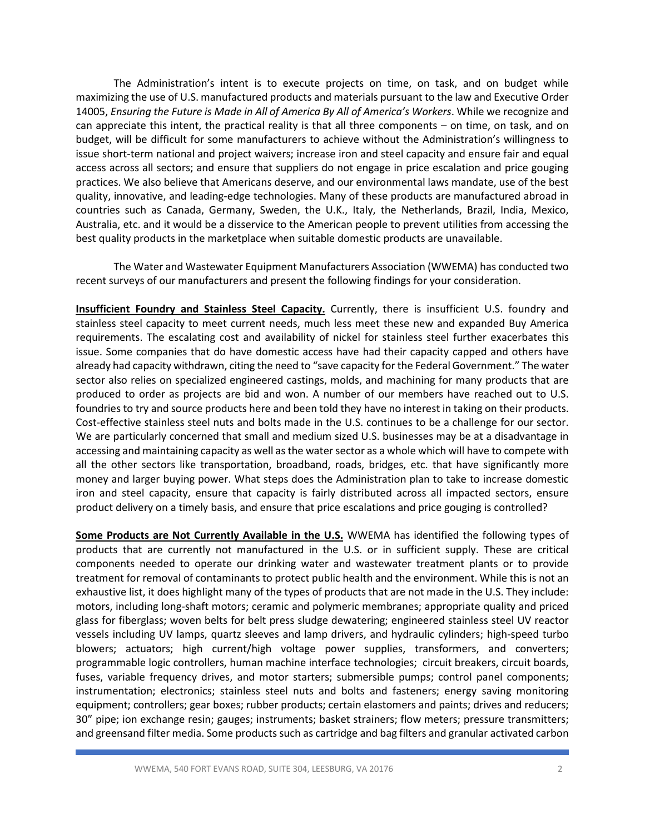The Administration's intent is to execute projects on time, on task, and on budget while maximizing the use of U.S. manufactured products and materials pursuant to the law and Executive Order 14005, *Ensuring the Future is Made in All of America By All of America's Workers*. While we recognize and can appreciate this intent, the practical reality is that all three components – on time, on task, and on budget, will be difficult for some manufacturers to achieve without the Administration's willingness to issue short-term national and project waivers; increase iron and steel capacity and ensure fair and equal access across all sectors; and ensure that suppliers do not engage in price escalation and price gouging practices. We also believe that Americans deserve, and our environmental laws mandate, use of the best quality, innovative, and leading-edge technologies. Many of these products are manufactured abroad in countries such as Canada, Germany, Sweden, the U.K., Italy, the Netherlands, Brazil, India, Mexico, Australia, etc. and it would be a disservice to the American people to prevent utilities from accessing the best quality products in the marketplace when suitable domestic products are unavailable.

The Water and Wastewater Equipment Manufacturers Association (WWEMA) has conducted two recent surveys of our manufacturers and present the following findings for your consideration.

**Insufficient Foundry and Stainless Steel Capacity.** Currently, there is insufficient U.S. foundry and stainless steel capacity to meet current needs, much less meet these new and expanded Buy America requirements. The escalating cost and availability of nickel for stainless steel further exacerbates this issue. Some companies that do have domestic access have had their capacity capped and others have already had capacity withdrawn, citing the need to "save capacity for the Federal Government." The water sector also relies on specialized engineered castings, molds, and machining for many products that are produced to order as projects are bid and won. A number of our members have reached out to U.S. foundries to try and source products here and been told they have no interest in taking on their products. Cost-effective stainless steel nuts and bolts made in the U.S. continues to be a challenge for our sector. We are particularly concerned that small and medium sized U.S. businesses may be at a disadvantage in accessing and maintaining capacity as well as the water sector as a whole which will have to compete with all the other sectors like transportation, broadband, roads, bridges, etc. that have significantly more money and larger buying power. What steps does the Administration plan to take to increase domestic iron and steel capacity, ensure that capacity is fairly distributed across all impacted sectors, ensure product delivery on a timely basis, and ensure that price escalations and price gouging is controlled?

**Some Products are Not Currently Available in the U.S.** WWEMA has identified the following types of products that are currently not manufactured in the U.S. or in sufficient supply. These are critical components needed to operate our drinking water and wastewater treatment plants or to provide treatment for removal of contaminants to protect public health and the environment. While this is not an exhaustive list, it does highlight many of the types of products that are not made in the U.S. They include: motors, including long-shaft motors; ceramic and polymeric membranes; appropriate quality and priced glass for fiberglass; woven belts for belt press sludge dewatering; engineered stainless steel UV reactor vessels including UV lamps, quartz sleeves and lamp drivers, and hydraulic cylinders; high-speed turbo blowers; actuators; high current/high voltage power supplies, transformers, and converters; programmable logic controllers, human machine interface technologies; circuit breakers, circuit boards, fuses, variable frequency drives, and motor starters; submersible pumps; control panel components; instrumentation; electronics; stainless steel nuts and bolts and fasteners; energy saving monitoring equipment; controllers; gear boxes; rubber products; certain elastomers and paints; drives and reducers; 30" pipe; ion exchange resin; gauges; instruments; basket strainers; flow meters; pressure transmitters; and greensand filter media. Some products such as cartridge and bag filters and granular activated carbon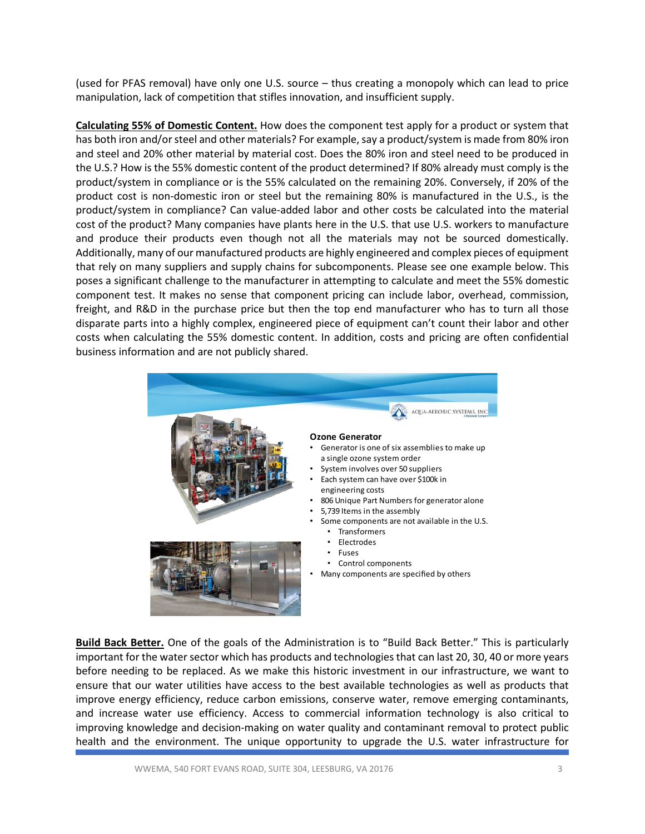(used for PFAS removal) have only one U.S. source – thus creating a monopoly which can lead to price manipulation, lack of competition that stifles innovation, and insufficient supply.

**Calculating 55% of Domestic Content.** How does the component test apply for a product or system that has both iron and/or steel and other materials? For example, say a product/system is made from 80% iron and steel and 20% other material by material cost. Does the 80% iron and steel need to be produced in the U.S.? How is the 55% domestic content of the product determined? If 80% already must comply is the product/system in compliance or is the 55% calculated on the remaining 20%. Conversely, if 20% of the product cost is non-domestic iron or steel but the remaining 80% is manufactured in the U.S., is the product/system in compliance? Can value-added labor and other costs be calculated into the material cost of the product? Many companies have plants here in the U.S. that use U.S. workers to manufacture and produce their products even though not all the materials may not be sourced domestically. Additionally, many of our manufactured products are highly engineered and complex pieces of equipment that rely on many suppliers and supply chains for subcomponents. Please see one example below. This poses a significant challenge to the manufacturer in attempting to calculate and meet the 55% domestic component test. It makes no sense that component pricing can include labor, overhead, commission, freight, and R&D in the purchase price but then the top end manufacturer who has to turn all those disparate parts into a highly complex, engineered piece of equipment can't count their labor and other costs when calculating the 55% domestic content. In addition, costs and pricing are often confidential business information and are not publicly shared.



**Build Back Better.** One of the goals of the Administration is to "Build Back Better." This is particularly important for the water sector which has products and technologies that can last 20, 30, 40 or more years before needing to be replaced. As we make this historic investment in our infrastructure, we want to ensure that our water utilities have access to the best available technologies as well as products that improve energy efficiency, reduce carbon emissions, conserve water, remove emerging contaminants, and increase water use efficiency. Access to commercial information technology is also critical to improving knowledge and decision-making on water quality and contaminant removal to protect public health and the environment. The unique opportunity to upgrade the U.S. water infrastructure for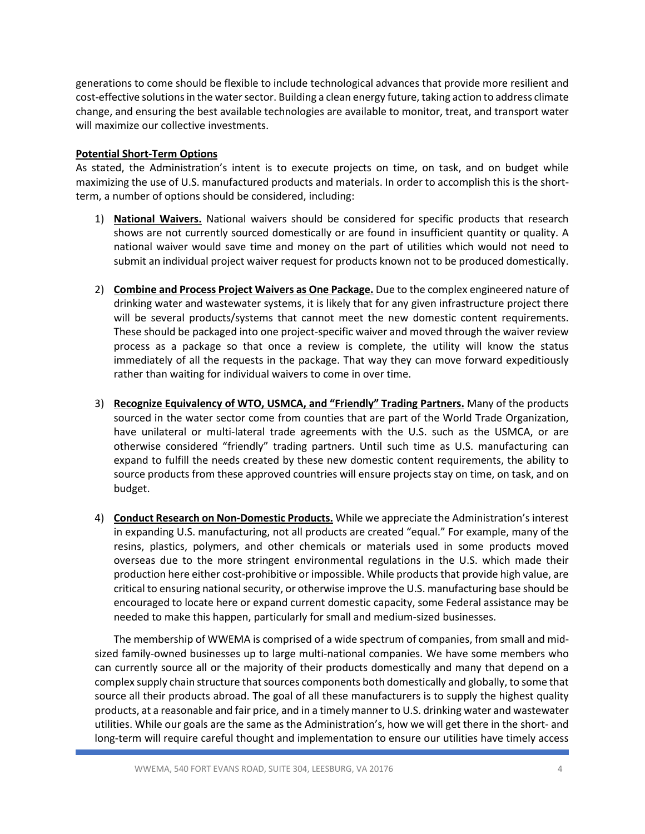generations to come should be flexible to include technological advances that provide more resilient and cost-effective solutions in the water sector. Building a clean energy future, taking action to address climate change, and ensuring the best available technologies are available to monitor, treat, and transport water will maximize our collective investments.

## **Potential Short-Term Options**

As stated, the Administration's intent is to execute projects on time, on task, and on budget while maximizing the use of U.S. manufactured products and materials. In order to accomplish this is the shortterm, a number of options should be considered, including:

- 1) **National Waivers.** National waivers should be considered for specific products that research shows are not currently sourced domestically or are found in insufficient quantity or quality. A national waiver would save time and money on the part of utilities which would not need to submit an individual project waiver request for products known not to be produced domestically.
- 2) **Combine and Process Project Waivers as One Package.** Due to the complex engineered nature of drinking water and wastewater systems, it is likely that for any given infrastructure project there will be several products/systems that cannot meet the new domestic content requirements. These should be packaged into one project-specific waiver and moved through the waiver review process as a package so that once a review is complete, the utility will know the status immediately of all the requests in the package. That way they can move forward expeditiously rather than waiting for individual waivers to come in over time.
- 3) **Recognize Equivalency of WTO, USMCA, and "Friendly" Trading Partners.** Many of the products sourced in the water sector come from counties that are part of the World Trade Organization, have unilateral or multi-lateral trade agreements with the U.S. such as the USMCA, or are otherwise considered "friendly" trading partners. Until such time as U.S. manufacturing can expand to fulfill the needs created by these new domestic content requirements, the ability to source products from these approved countries will ensure projects stay on time, on task, and on budget.
- 4) **Conduct Research on Non-Domestic Products.** While we appreciate the Administration's interest in expanding U.S. manufacturing, not all products are created "equal." For example, many of the resins, plastics, polymers, and other chemicals or materials used in some products moved overseas due to the more stringent environmental regulations in the U.S. which made their production here either cost-prohibitive or impossible. While products that provide high value, are critical to ensuring national security, or otherwise improve the U.S. manufacturing base should be encouraged to locate here or expand current domestic capacity, some Federal assistance may be needed to make this happen, particularly for small and medium-sized businesses.

The membership of WWEMA is comprised of a wide spectrum of companies, from small and midsized family-owned businesses up to large multi-national companies. We have some members who can currently source all or the majority of their products domestically and many that depend on a complex supply chain structure that sources components both domestically and globally, to some that source all their products abroad. The goal of all these manufacturers is to supply the highest quality products, at a reasonable and fair price, and in a timely manner to U.S. drinking water and wastewater utilities. While our goals are the same as the Administration's, how we will get there in the short- and long-term will require careful thought and implementation to ensure our utilities have timely access